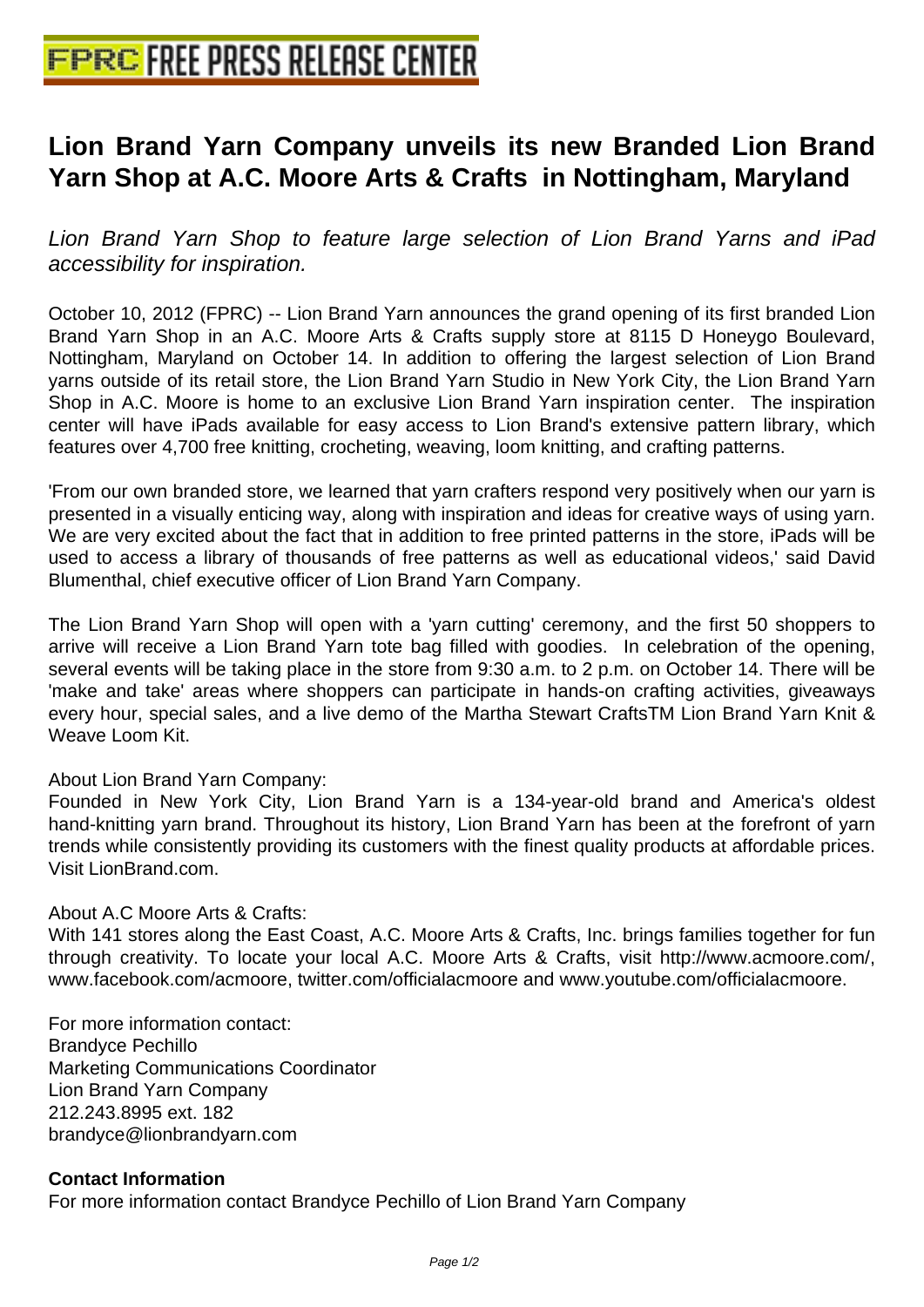## **[Lion Brand Yarn Company unveil](http://www.free-press-release-center.info)s its new Branded Lion Brand Yarn Shop at A.C. Moore Arts & Crafts in Nottingham, Maryland**

Lion Brand Yarn Shop to feature large selection of Lion Brand Yarns and iPad accessibility for inspiration.

October 10, 2012 (FPRC) -- Lion Brand Yarn announces the grand opening of its first branded Lion Brand Yarn Shop in an A.C. Moore Arts & Crafts supply store at 8115 D Honeygo Boulevard, Nottingham, Maryland on October 14. In addition to offering the largest selection of Lion Brand yarns outside of its retail store, the Lion Brand Yarn Studio in New York City, the Lion Brand Yarn Shop in A.C. Moore is home to an exclusive Lion Brand Yarn inspiration center. The inspiration center will have iPads available for easy access to Lion Brand's extensive pattern library, which features over 4,700 free knitting, crocheting, weaving, loom knitting, and crafting patterns.

'From our own branded store, we learned that yarn crafters respond very positively when our yarn is presented in a visually enticing way, along with inspiration and ideas for creative ways of using yarn. We are very excited about the fact that in addition to free printed patterns in the store, iPads will be used to access a library of thousands of free patterns as well as educational videos,' said David Blumenthal, chief executive officer of Lion Brand Yarn Company.

The Lion Brand Yarn Shop will open with a 'yarn cutting' ceremony, and the first 50 shoppers to arrive will receive a Lion Brand Yarn tote bag filled with goodies. In celebration of the opening, several events will be taking place in the store from 9:30 a.m. to 2 p.m. on October 14. There will be 'make and take' areas where shoppers can participate in hands-on crafting activities, giveaways every hour, special sales, and a live demo of the Martha Stewart CraftsTM Lion Brand Yarn Knit & Weave Loom Kit.

### About Lion Brand Yarn Company:

Founded in New York City, Lion Brand Yarn is a 134-year-old brand and America's oldest hand-knitting yarn brand. Throughout its history, Lion Brand Yarn has been at the forefront of yarn trends while consistently providing its customers with the finest quality products at affordable prices. Visit LionBrand.com.

#### About A.C Moore Arts & Crafts:

With 141 stores along the East Coast, A.C. Moore Arts & Crafts, Inc. brings families together for fun through creativity. To locate your local A.C. Moore Arts & Crafts, visit http://www.acmoore.com/, www.facebook.com/acmoore, twitter.com/officialacmoore and www.youtube.com/officialacmoore.

For more information contact: Brandyce Pechillo Marketing Communications Coordinator Lion Brand Yarn Company 212.243.8995 ext. 182 brandyce@lionbrandyarn.com

#### **Contact Information**

For more information contact Brandyce Pechillo of Lion Brand Yarn Company